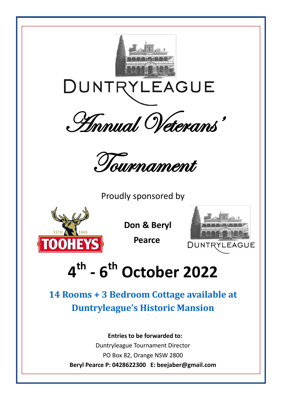

**Duntryleague's Historic Mansion**

 **Entries to be forwarded to:**

Duntryleague Tournament Director PO Box 82, Orange NSW 2800 **Beryl Pearce P: 0428622300 E: beejaber@gmail.com**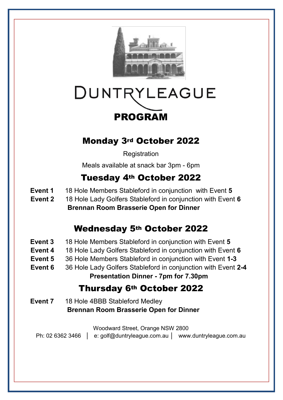

# DUNTRYLEAGUE PROGRAM

### Monday 3rd October 2022

**Registration** 

Meals available at snack bar 3pm - 6pm

# Tuesday 4th October 2022

- **Event 1** 18 Hole Members Stableford in conjunction with Event 5
- **Event 2** 18 Hole Lady Golfers Stableford in conjunction with Event **6 Brennan Room Brasserie Open for Dinner**

### Wednesday 5th October 2022

- **Event 3** 18 Hole Members Stableford in conjunction with Event **5**
- **Event 4** 18 Hole Lady Golfers Stableford in conjunction with Event **6**
- **Event 5** 36 Hole Members Stableford in conjunction with Event **1-3**
- **Event 6** 36 Hole Lady Golfers Stableford in conjunction with Event **2-4**

**Presentation Dinner - 7pm for 7.30pm**

### Thursday 6th October 2022

**Event 7** 18 Hole 4BBB Stableford Medley **Brennan Room Brasserie Open for Dinner**

Woodward Street, Orange NSW 2800

- Ph: 02 6362 3466 │ e: golf@duntryleague.com.au │ www.duntryleague.com.au
	-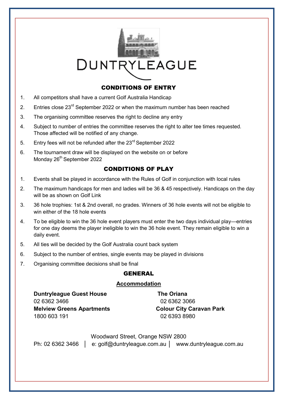

### CONDITIONS OF ENTRY

- 1. All competitors shall have a current Golf Australia Handicap
- 2. Entries close  $23^{\text{rd}}$  September 2022 or when the maximum number has been reached
- 3. The organising committee reserves the right to decline any entry
- 4. Subject to number of entries the committee reserves the right to alter tee times requested. Those affected will be notified of any change.
- 5. Entry fees will not be refunded after the 23<sup>rd</sup> September 2022
- 6. The tournament draw will be displayed on the website on or before Monday 26<sup>th</sup> September 2022

### CONDITIONS OF PLAY

- 1. Events shall be played in accordance with the Rules of Golf in conjunction with local rules
- 2. The maximum handicaps for men and ladies will be 36 & 45 respectively. Handicaps on the day will be as shown on Golf Link
- 3. 36 hole trophies: 1st & 2nd overall, no grades. Winners of 36 hole events will not be eligible to win either of the 18 hole events
- 4. To be eligible to win the 36 hole event players must enter the two days individual play—entries for one day deems the player ineligible to win the 36 hole event. They remain eligible to win a daily event.
- 5. All ties will be decided by the Golf Australia count back system
- 6. Subject to the number of entries, single events may be played in divisions
- 7. Organising committee decisions shall be final

#### GENERAL

#### **Accommodation**

**Duntryleague Guest House The Oriana** 02 6362 3466 02 6362 3066 **Melview Greens Apartments Colour City Caravan Park** 1800 603 191 02 6393 8980

Woodward Street, Orange NSW 2800

Ph: 02 6362 3466 │ e: golf@duntryleague.com.au │ www.duntryleague.com.au